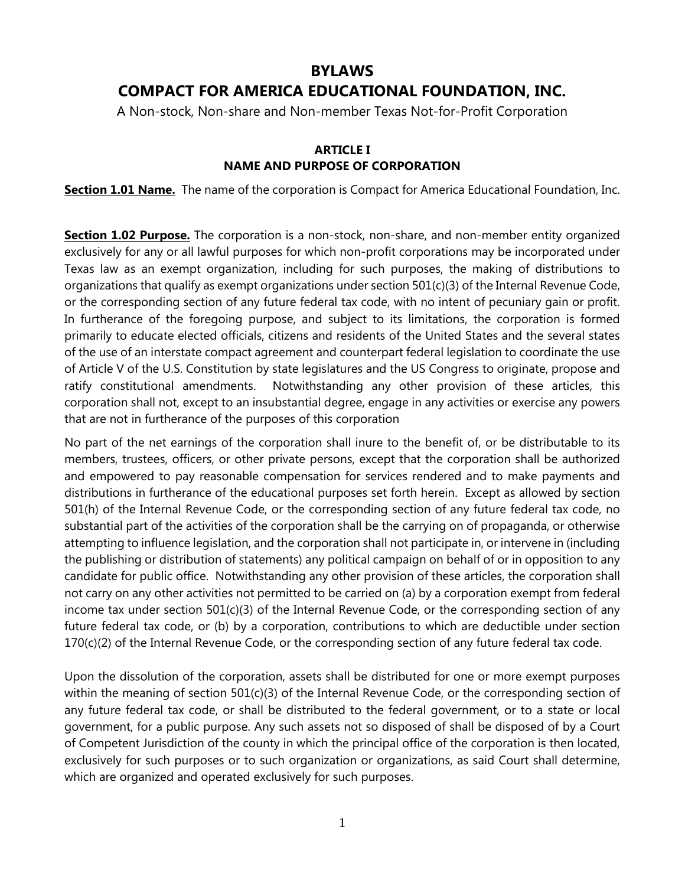# **BYLAWS COMPACT FOR AMERICA EDUCATIONAL FOUNDATION, INC.**

A Non-stock, Non-share and Non-member Texas Not-for-Profit Corporation

## **ARTICLE I NAME AND PURPOSE OF CORPORATION**

**Section 1.01 Name.** The name of the corporation is Compact for America Educational Foundation, Inc.

**Section 1.02 Purpose.** The corporation is a non-stock, non-share, and non-member entity organized exclusively for any or all lawful purposes for which non-profit corporations may be incorporated under Texas law as an exempt organization, including for such purposes, the making of distributions to organizations that qualify as exempt organizations under section 501(c)(3) of the Internal Revenue Code, or the corresponding section of any future federal tax code, with no intent of pecuniary gain or profit. In furtherance of the foregoing purpose, and subject to its limitations, the corporation is formed primarily to educate elected officials, citizens and residents of the United States and the several states of the use of an interstate compact agreement and counterpart federal legislation to coordinate the use of Article V of the U.S. Constitution by state legislatures and the US Congress to originate, propose and ratify constitutional amendments. Notwithstanding any other provision of these articles, this corporation shall not, except to an insubstantial degree, engage in any activities or exercise any powers that are not in furtherance of the purposes of this corporation

No part of the net earnings of the corporation shall inure to the benefit of, or be distributable to its members, trustees, officers, or other private persons, except that the corporation shall be authorized and empowered to pay reasonable compensation for services rendered and to make payments and distributions in furtherance of the educational purposes set forth herein. Except as allowed by section 501(h) of the Internal Revenue Code, or the corresponding section of any future federal tax code, no substantial part of the activities of the corporation shall be the carrying on of propaganda, or otherwise attempting to influence legislation, and the corporation shall not participate in, or intervene in (including the publishing or distribution of statements) any political campaign on behalf of or in opposition to any candidate for public office. Notwithstanding any other provision of these articles, the corporation shall not carry on any other activities not permitted to be carried on (a) by a corporation exempt from federal income tax under section  $501(c)(3)$  of the Internal Revenue Code, or the corresponding section of any future federal tax code, or (b) by a corporation, contributions to which are deductible under section 170(c)(2) of the Internal Revenue Code, or the corresponding section of any future federal tax code.

Upon the dissolution of the corporation, assets shall be distributed for one or more exempt purposes within the meaning of section 501(c)(3) of the Internal Revenue Code, or the corresponding section of any future federal tax code, or shall be distributed to the federal government, or to a state or local government, for a public purpose. Any such assets not so disposed of shall be disposed of by a Court of Competent Jurisdiction of the county in which the principal office of the corporation is then located, exclusively for such purposes or to such organization or organizations, as said Court shall determine, which are organized and operated exclusively for such purposes.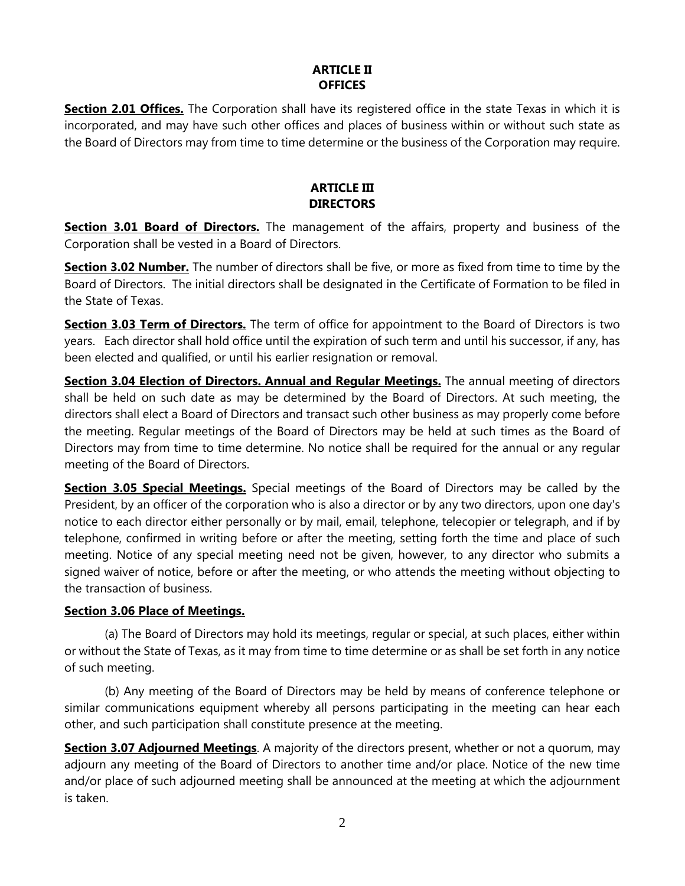# **ARTICLE II OFFICES**

**Section 2.01 Offices.** The Corporation shall have its registered office in the state Texas in which it is incorporated, and may have such other offices and places of business within or without such state as the Board of Directors may from time to time determine or the business of the Corporation may require.

# **ARTICLE III DIRECTORS**

**Section 3.01 Board of Directors.** The management of the affairs, property and business of the Corporation shall be vested in a Board of Directors.

**Section 3.02 Number.** The number of directors shall be five, or more as fixed from time to time by the Board of Directors. The initial directors shall be designated in the Certificate of Formation to be filed in the State of Texas.

**Section 3.03 Term of Directors.** The term of office for appointment to the Board of Directors is two years. Each director shall hold office until the expiration of such term and until his successor, if any, has been elected and qualified, or until his earlier resignation or removal.

**Section 3.04 Election of Directors. Annual and Regular Meetings.** The annual meeting of directors shall be held on such date as may be determined by the Board of Directors. At such meeting, the directors shall elect a Board of Directors and transact such other business as may properly come before the meeting. Regular meetings of the Board of Directors may be held at such times as the Board of Directors may from time to time determine. No notice shall be required for the annual or any regular meeting of the Board of Directors.

**Section 3.05 Special Meetings.** Special meetings of the Board of Directors may be called by the President, by an officer of the corporation who is also a director or by any two directors, upon one day's notice to each director either personally or by mail, email, telephone, telecopier or telegraph, and if by telephone, confirmed in writing before or after the meeting, setting forth the time and place of such meeting. Notice of any special meeting need not be given, however, to any director who submits a signed waiver of notice, before or after the meeting, or who attends the meeting without objecting to the transaction of business.

## **Section 3.06 Place of Meetings.**

(a) The Board of Directors may hold its meetings, regular or special, at such places, either within or without the State of Texas, as it may from time to time determine or as shall be set forth in any notice of such meeting.

(b) Any meeting of the Board of Directors may be held by means of conference telephone or similar communications equipment whereby all persons participating in the meeting can hear each other, and such participation shall constitute presence at the meeting.

**Section 3.07 Adjourned Meetings**. A majority of the directors present, whether or not a quorum, may adjourn any meeting of the Board of Directors to another time and/or place. Notice of the new time and/or place of such adjourned meeting shall be announced at the meeting at which the adjournment is taken.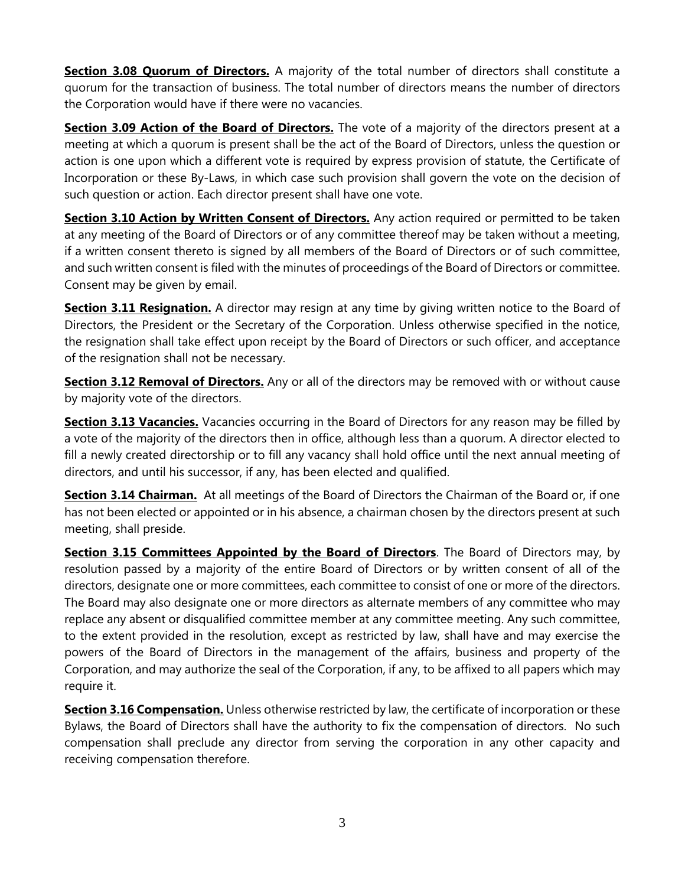**Section 3.08 Quorum of Directors.** A majority of the total number of directors shall constitute a quorum for the transaction of business. The total number of directors means the number of directors the Corporation would have if there were no vacancies.

**Section 3.09 Action of the Board of Directors.** The vote of a majority of the directors present at a meeting at which a quorum is present shall be the act of the Board of Directors, unless the question or action is one upon which a different vote is required by express provision of statute, the Certificate of Incorporation or these By-Laws, in which case such provision shall govern the vote on the decision of such question or action. Each director present shall have one vote.

**Section 3.10 Action by Written Consent of Directors.** Any action required or permitted to be taken at any meeting of the Board of Directors or of any committee thereof may be taken without a meeting, if a written consent thereto is signed by all members of the Board of Directors or of such committee, and such written consent is filed with the minutes of proceedings of the Board of Directors or committee. Consent may be given by email.

**Section 3.11 Resignation.** A director may resign at any time by giving written notice to the Board of Directors, the President or the Secretary of the Corporation. Unless otherwise specified in the notice, the resignation shall take effect upon receipt by the Board of Directors or such officer, and acceptance of the resignation shall not be necessary.

**Section 3.12 Removal of Directors.** Any or all of the directors may be removed with or without cause by majority vote of the directors.

**Section 3.13 Vacancies.** Vacancies occurring in the Board of Directors for any reason may be filled by a vote of the majority of the directors then in office, although less than a quorum. A director elected to fill a newly created directorship or to fill any vacancy shall hold office until the next annual meeting of directors, and until his successor, if any, has been elected and qualified.

**Section 3.14 Chairman.** At all meetings of the Board of Directors the Chairman of the Board or, if one has not been elected or appointed or in his absence, a chairman chosen by the directors present at such meeting, shall preside.

**Section 3.15 Committees Appointed by the Board of Directors**. The Board of Directors may, by resolution passed by a majority of the entire Board of Directors or by written consent of all of the directors, designate one or more committees, each committee to consist of one or more of the directors. The Board may also designate one or more directors as alternate members of any committee who may replace any absent or disqualified committee member at any committee meeting. Any such committee, to the extent provided in the resolution, except as restricted by law, shall have and may exercise the powers of the Board of Directors in the management of the affairs, business and property of the Corporation, and may authorize the seal of the Corporation, if any, to be affixed to all papers which may require it.

**Section 3.16 Compensation.** Unless otherwise restricted by law, the certificate of incorporation or these Bylaws, the Board of Directors shall have the authority to fix the compensation of directors. No such compensation shall preclude any director from serving the corporation in any other capacity and receiving compensation therefore.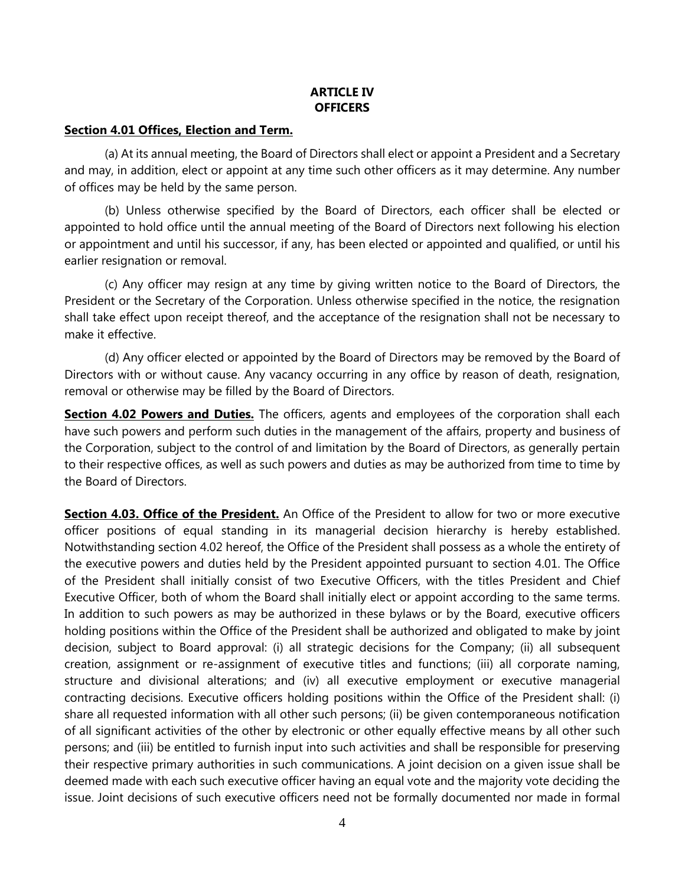## **ARTICLE IV OFFICERS**

#### **Section 4.01 Offices, Election and Term.**

(a) At its annual meeting, the Board of Directors shall elect or appoint a President and a Secretary and may, in addition, elect or appoint at any time such other officers as it may determine. Any number of offices may be held by the same person.

(b) Unless otherwise specified by the Board of Directors, each officer shall be elected or appointed to hold office until the annual meeting of the Board of Directors next following his election or appointment and until his successor, if any, has been elected or appointed and qualified, or until his earlier resignation or removal.

(c) Any officer may resign at any time by giving written notice to the Board of Directors, the President or the Secretary of the Corporation. Unless otherwise specified in the notice, the resignation shall take effect upon receipt thereof, and the acceptance of the resignation shall not be necessary to make it effective.

(d) Any officer elected or appointed by the Board of Directors may be removed by the Board of Directors with or without cause. Any vacancy occurring in any office by reason of death, resignation, removal or otherwise may be filled by the Board of Directors.

**Section 4.02 Powers and Duties.** The officers, agents and employees of the corporation shall each have such powers and perform such duties in the management of the affairs, property and business of the Corporation, subject to the control of and limitation by the Board of Directors, as generally pertain to their respective offices, as well as such powers and duties as may be authorized from time to time by the Board of Directors.

**Section 4.03. Office of the President.** An Office of the President to allow for two or more executive officer positions of equal standing in its managerial decision hierarchy is hereby established. Notwithstanding section 4.02 hereof, the Office of the President shall possess as a whole the entirety of the executive powers and duties held by the President appointed pursuant to section 4.01. The Office of the President shall initially consist of two Executive Officers, with the titles President and Chief Executive Officer, both of whom the Board shall initially elect or appoint according to the same terms. In addition to such powers as may be authorized in these bylaws or by the Board, executive officers holding positions within the Office of the President shall be authorized and obligated to make by joint decision, subject to Board approval: (i) all strategic decisions for the Company; (ii) all subsequent creation, assignment or re-assignment of executive titles and functions; (iii) all corporate naming, structure and divisional alterations; and (iv) all executive employment or executive managerial contracting decisions. Executive officers holding positions within the Office of the President shall: (i) share all requested information with all other such persons; (ii) be given contemporaneous notification of all significant activities of the other by electronic or other equally effective means by all other such persons; and (iii) be entitled to furnish input into such activities and shall be responsible for preserving their respective primary authorities in such communications. A joint decision on a given issue shall be deemed made with each such executive officer having an equal vote and the majority vote deciding the issue. Joint decisions of such executive officers need not be formally documented nor made in formal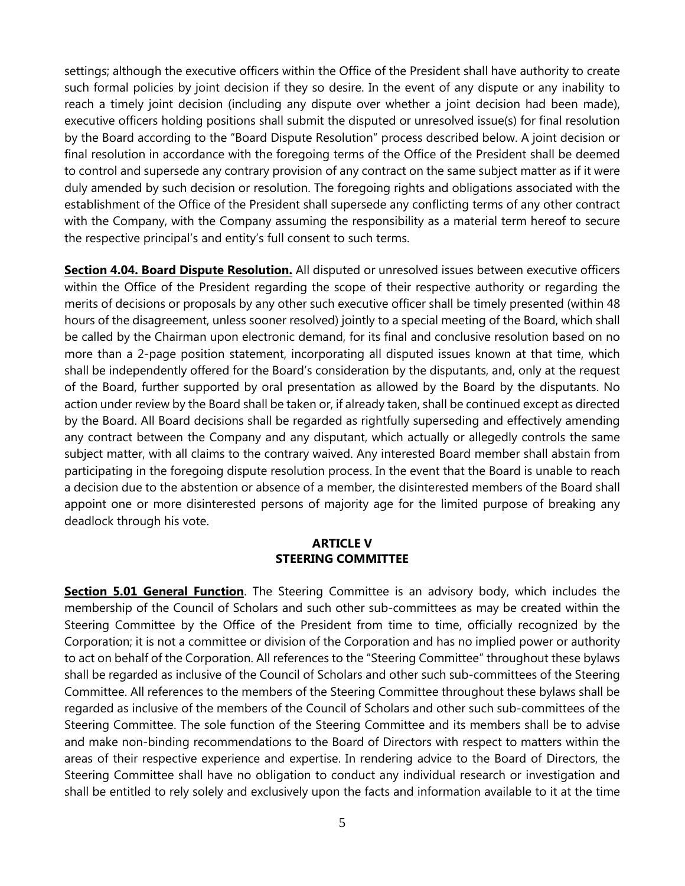settings; although the executive officers within the Office of the President shall have authority to create such formal policies by joint decision if they so desire. In the event of any dispute or any inability to reach a timely joint decision (including any dispute over whether a joint decision had been made), executive officers holding positions shall submit the disputed or unresolved issue(s) for final resolution by the Board according to the "Board Dispute Resolution" process described below. A joint decision or final resolution in accordance with the foregoing terms of the Office of the President shall be deemed to control and supersede any contrary provision of any contract on the same subject matter as if it were duly amended by such decision or resolution. The foregoing rights and obligations associated with the establishment of the Office of the President shall supersede any conflicting terms of any other contract with the Company, with the Company assuming the responsibility as a material term hereof to secure the respective principal's and entity's full consent to such terms.

**Section 4.04. Board Dispute Resolution.** All disputed or unresolved issues between executive officers within the Office of the President regarding the scope of their respective authority or regarding the merits of decisions or proposals by any other such executive officer shall be timely presented (within 48 hours of the disagreement, unless sooner resolved) jointly to a special meeting of the Board, which shall be called by the Chairman upon electronic demand, for its final and conclusive resolution based on no more than a 2-page position statement, incorporating all disputed issues known at that time, which shall be independently offered for the Board's consideration by the disputants, and, only at the request of the Board, further supported by oral presentation as allowed by the Board by the disputants. No action under review by the Board shall be taken or, if already taken, shall be continued except as directed by the Board. All Board decisions shall be regarded as rightfully superseding and effectively amending any contract between the Company and any disputant, which actually or allegedly controls the same subject matter, with all claims to the contrary waived. Any interested Board member shall abstain from participating in the foregoing dispute resolution process. In the event that the Board is unable to reach a decision due to the abstention or absence of a member, the disinterested members of the Board shall appoint one or more disinterested persons of majority age for the limited purpose of breaking any deadlock through his vote.

#### **ARTICLE V STEERING COMMITTEE**

**Section 5.01 General Function**. The Steering Committee is an advisory body, which includes the membership of the Council of Scholars and such other sub-committees as may be created within the Steering Committee by the Office of the President from time to time, officially recognized by the Corporation; it is not a committee or division of the Corporation and has no implied power or authority to act on behalf of the Corporation. All references to the "Steering Committee" throughout these bylaws shall be regarded as inclusive of the Council of Scholars and other such sub-committees of the Steering Committee. All references to the members of the Steering Committee throughout these bylaws shall be regarded as inclusive of the members of the Council of Scholars and other such sub-committees of the Steering Committee. The sole function of the Steering Committee and its members shall be to advise and make non-binding recommendations to the Board of Directors with respect to matters within the areas of their respective experience and expertise. In rendering advice to the Board of Directors, the Steering Committee shall have no obligation to conduct any individual research or investigation and shall be entitled to rely solely and exclusively upon the facts and information available to it at the time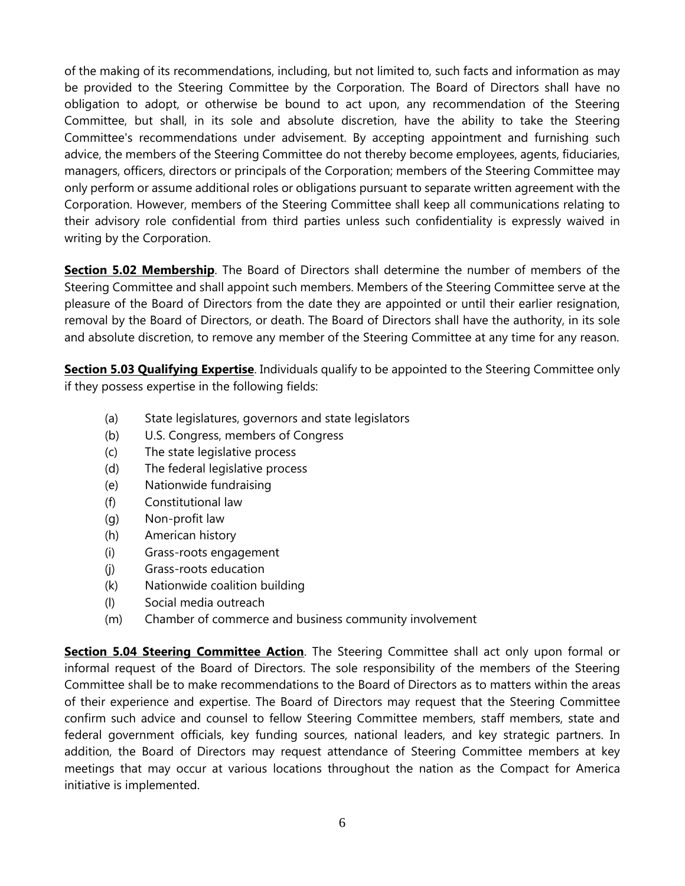of the making of its recommendations, including, but not limited to, such facts and information as may be provided to the Steering Committee by the Corporation. The Board of Directors shall have no obligation to adopt, or otherwise be bound to act upon, any recommendation of the Steering Committee, but shall, in its sole and absolute discretion, have the ability to take the Steering Committee's recommendations under advisement. By accepting appointment and furnishing such advice, the members of the Steering Committee do not thereby become employees, agents, fiduciaries, managers, officers, directors or principals of the Corporation; members of the Steering Committee may only perform or assume additional roles or obligations pursuant to separate written agreement with the Corporation. However, members of the Steering Committee shall keep all communications relating to their advisory role confidential from third parties unless such confidentiality is expressly waived in writing by the Corporation.

**Section 5.02 Membership**. The Board of Directors shall determine the number of members of the Steering Committee and shall appoint such members. Members of the Steering Committee serve at the pleasure of the Board of Directors from the date they are appointed or until their earlier resignation, removal by the Board of Directors, or death. The Board of Directors shall have the authority, in its sole and absolute discretion, to remove any member of the Steering Committee at any time for any reason.

**Section 5.03 Qualifying Expertise**. Individuals qualify to be appointed to the Steering Committee only if they possess expertise in the following fields:

- (a) State legislatures, governors and state legislators
- (b) U.S. Congress, members of Congress
- (c) The state legislative process
- (d) The federal legislative process
- (e) Nationwide fundraising
- (f) Constitutional law
- (g) Non-profit law
- (h) American history
- (i) Grass-roots engagement
- (j) Grass-roots education
- (k) Nationwide coalition building
- (l) Social media outreach
- (m) Chamber of commerce and business community involvement

**Section 5.04 Steering Committee Action**. The Steering Committee shall act only upon formal or informal request of the Board of Directors. The sole responsibility of the members of the Steering Committee shall be to make recommendations to the Board of Directors as to matters within the areas of their experience and expertise. The Board of Directors may request that the Steering Committee confirm such advice and counsel to fellow Steering Committee members, staff members, state and federal government officials, key funding sources, national leaders, and key strategic partners. In addition, the Board of Directors may request attendance of Steering Committee members at key meetings that may occur at various locations throughout the nation as the Compact for America initiative is implemented.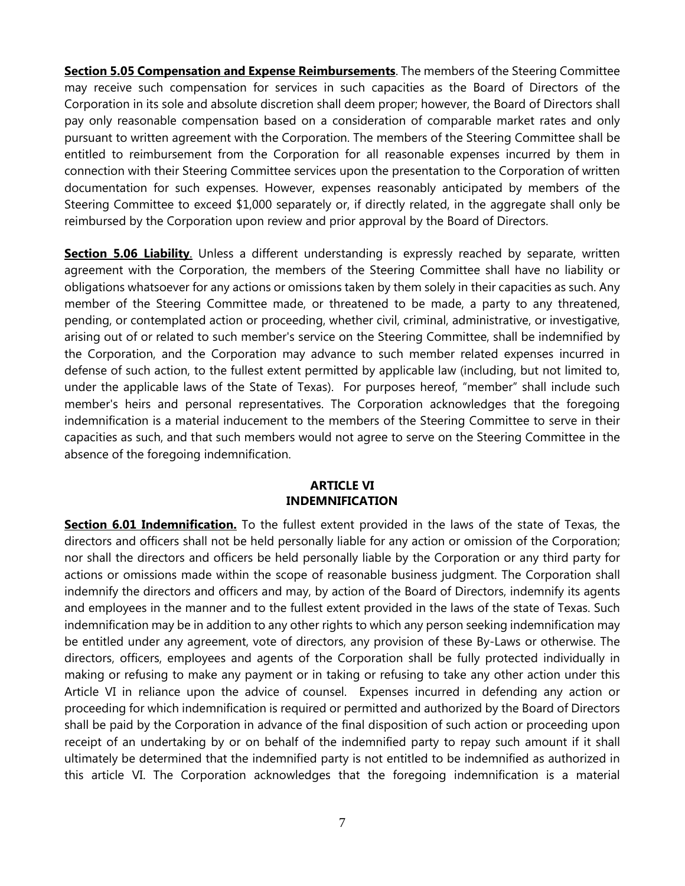**Section 5.05 Compensation and Expense Reimbursements**. The members of the Steering Committee may receive such compensation for services in such capacities as the Board of Directors of the Corporation in its sole and absolute discretion shall deem proper; however, the Board of Directors shall pay only reasonable compensation based on a consideration of comparable market rates and only pursuant to written agreement with the Corporation. The members of the Steering Committee shall be entitled to reimbursement from the Corporation for all reasonable expenses incurred by them in connection with their Steering Committee services upon the presentation to the Corporation of written documentation for such expenses. However, expenses reasonably anticipated by members of the Steering Committee to exceed \$1,000 separately or, if directly related, in the aggregate shall only be reimbursed by the Corporation upon review and prior approval by the Board of Directors.

**Section 5.06 Liability**. Unless a different understanding is expressly reached by separate, written agreement with the Corporation, the members of the Steering Committee shall have no liability or obligations whatsoever for any actions or omissions taken by them solely in their capacities as such. Any member of the Steering Committee made, or threatened to be made, a party to any threatened, pending, or contemplated action or proceeding, whether civil, criminal, administrative, or investigative, arising out of or related to such member's service on the Steering Committee, shall be indemnified by the Corporation, and the Corporation may advance to such member related expenses incurred in defense of such action, to the fullest extent permitted by applicable law (including, but not limited to, under the applicable laws of the State of Texas). For purposes hereof, "member" shall include such member's heirs and personal representatives. The Corporation acknowledges that the foregoing indemnification is a material inducement to the members of the Steering Committee to serve in their capacities as such, and that such members would not agree to serve on the Steering Committee in the absence of the foregoing indemnification.

#### **ARTICLE VI INDEMNIFICATION**

**Section 6.01 Indemnification.** To the fullest extent provided in the laws of the state of Texas, the directors and officers shall not be held personally liable for any action or omission of the Corporation; nor shall the directors and officers be held personally liable by the Corporation or any third party for actions or omissions made within the scope of reasonable business judgment. The Corporation shall indemnify the directors and officers and may, by action of the Board of Directors, indemnify its agents and employees in the manner and to the fullest extent provided in the laws of the state of Texas. Such indemnification may be in addition to any other rights to which any person seeking indemnification may be entitled under any agreement, vote of directors, any provision of these By-Laws or otherwise. The directors, officers, employees and agents of the Corporation shall be fully protected individually in making or refusing to make any payment or in taking or refusing to take any other action under this Article VI in reliance upon the advice of counsel. Expenses incurred in defending any action or proceeding for which indemnification is required or permitted and authorized by the Board of Directors shall be paid by the Corporation in advance of the final disposition of such action or proceeding upon receipt of an undertaking by or on behalf of the indemnified party to repay such amount if it shall ultimately be determined that the indemnified party is not entitled to be indemnified as authorized in this article VI. The Corporation acknowledges that the foregoing indemnification is a material